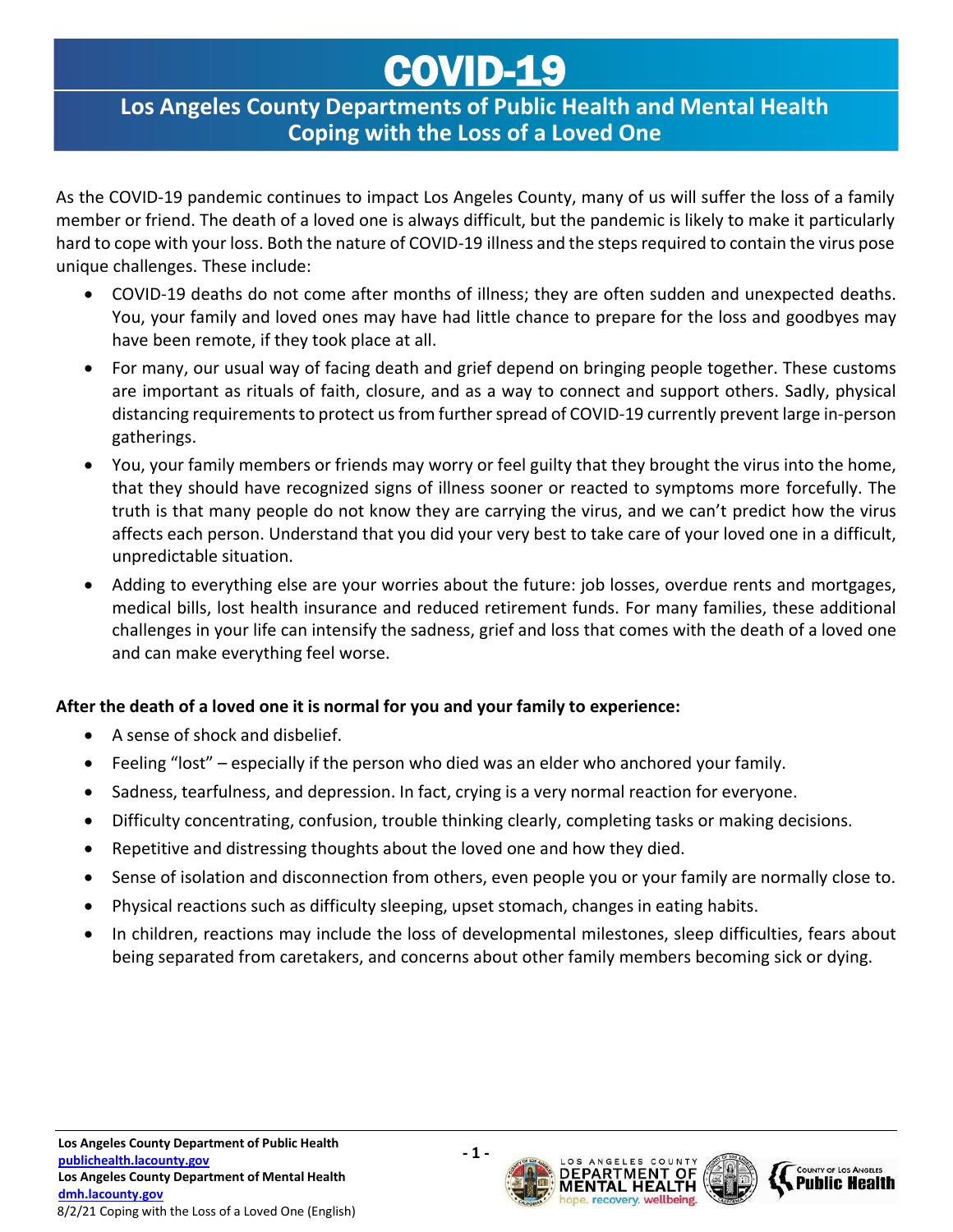## COVID-19

## **Los Angeles County Departments of Public Health and Mental Health Coping with the Loss of a Loved One**

As the COVID-19 pandemic continues to impact Los Angeles County, many of us will suffer the loss of a family member or friend. The death of a loved one is always difficult, but the pandemic is likely to make it particularly hard to cope with your loss. Both the nature of COVID-19 illness and the steps required to contain the virus pose unique challenges. These include:

- COVID-19 deaths do not come after months of illness; they are often sudden and unexpected deaths. You, your family and loved ones may have had little chance to prepare for the loss and goodbyes may have been remote, if they took place at all.
- For many, our usual way of facing death and grief depend on bringing people together. These customs are important as rituals of faith, closure, and as a way to connect and support others. Sadly, physical distancing requirements to protect us from further spread of COVID-19 currently prevent large in-person gatherings.
- You, your family members or friends may worry or feel guilty that they brought the virus into the home, that they should have recognized signs of illness sooner or reacted to symptoms more forcefully. The truth is that many people do not know they are carrying the virus, and we can't predict how the virus affects each person. Understand that you did your very best to take care of your loved one in a difficult, unpredictable situation.
- Adding to everything else are your worries about the future: job losses, overdue rents and mortgages, medical bills, lost health insurance and reduced retirement funds. For many families, these additional challenges in your life can intensify the sadness, grief and loss that comes with the death of a loved one and can make everything feel worse.

### **After the death of a loved one it is normal for you and your family to experience:**

- A sense of shock and disbelief.
- Feeling "lost" especially if the person who died was an elder who anchored your family.
- Sadness, tearfulness, and depression. In fact, crying is a very normal reaction for everyone.
- Difficulty concentrating, confusion, trouble thinking clearly, completing tasks or making decisions.
- Repetitive and distressing thoughts about the loved one and how they died.
- Sense of isolation and disconnection from others, even people you or your family are normally close to.
- Physical reactions such as difficulty sleeping, upset stomach, changes in eating habits.
- In children, reactions may include the loss of developmental milestones, sleep difficulties, fears about being separated from caretakers, and concerns about other family members becoming sick or dying.



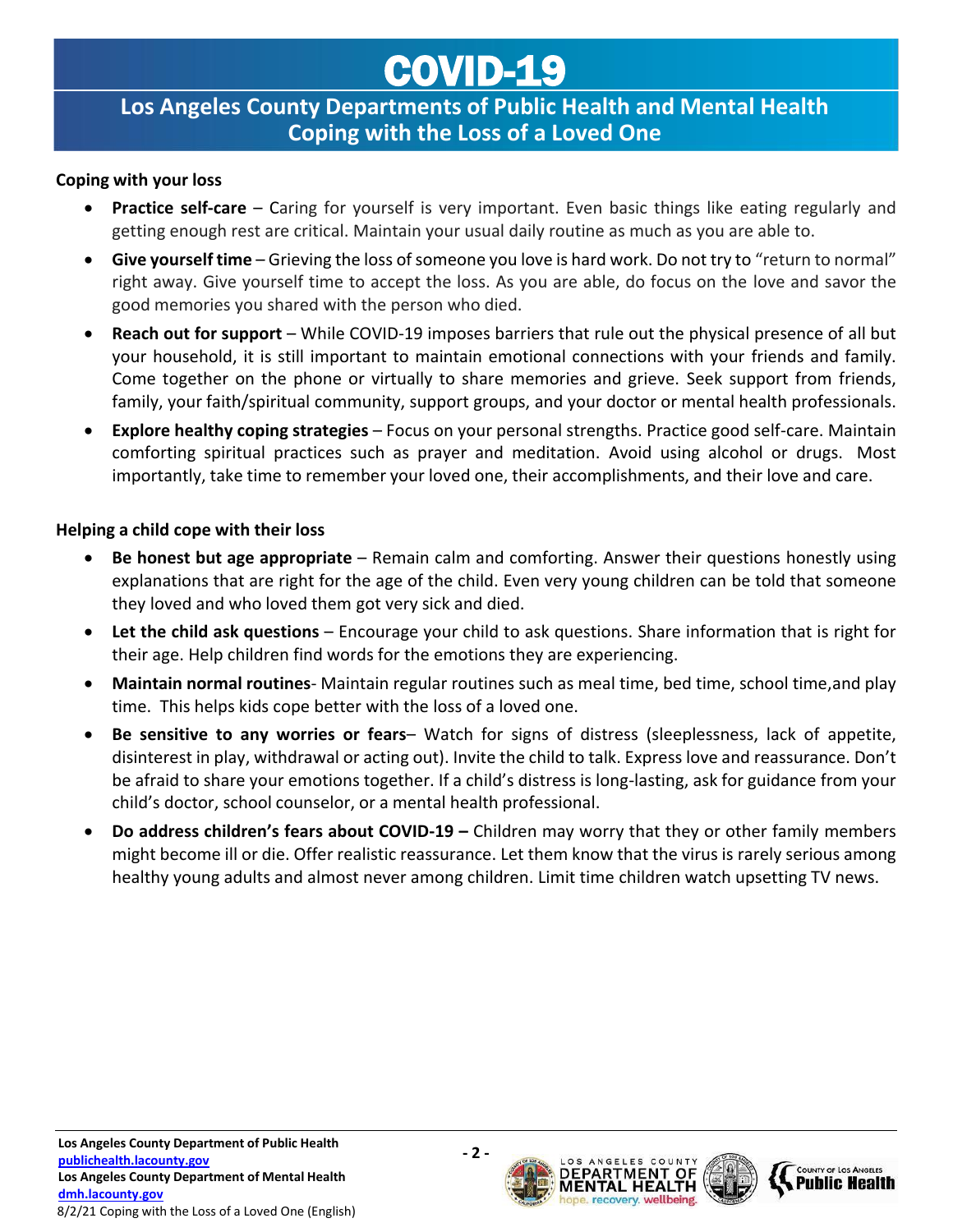# COVID-19

### **Los Angeles County Departments of Public Health and Mental Health Coping with the Loss of a Loved One**

#### **Coping with your loss**

- **Practice self-care** Caring for yourself is very important. Even basic things like eating regularly and getting enough rest are critical. Maintain your usual daily routine as much as you are able to.
- **Give yourself time**  Grieving the loss of someone you love is hard work. Do not try to "return to normal" right away. Give yourself time to accept the loss. As you are able, do focus on the love and savor the good memories you shared with the person who died.
- **Reach out for support**  While COVID-19 imposes barriers that rule out the physical presence of all but your household, it is still important to maintain emotional connections with your friends and family. Come together on the phone or virtually to share memories and grieve. Seek support from friends, family, your faith/spiritual community, support groups, and your doctor or mental health professionals.
- **Explore healthy coping strategies**  Focus on your personal strengths. Practice good self-care. Maintain comforting spiritual practices such as prayer and meditation. Avoid using alcohol or drugs. Most importantly, take time to remember your loved one, their accomplishments, and their love and care.

### **Helping a child cope with their loss**

- **Be honest but age appropriate**  Remain calm and comforting. Answer their questions honestly using explanations that are right for the age of the child. Even very young children can be told that someone they loved and who loved them got very sick and died.
- Let the child ask questions Encourage your child to ask questions. Share information that is right for their age. Help children find words for the emotions they are experiencing.
- **Maintain normal routines** Maintain regular routines such as meal time, bed time, school time,and play time. This helps kids cope better with the loss of a loved one.
- **Be sensitive to any worries or fears** Watch for signs of distress (sleeplessness, lack of appetite, disinterest in play, withdrawal or acting out). Invite the child to talk. Express love and reassurance. Don't be afraid to share your emotions together. If a child's distress is long-lasting, ask for guidance from your child's doctor, school counselor, or a mental health professional.
- **Do address children's fears about COVID-19 –** Children may worry that they or other family members might become ill or die. Offer realistic reassurance. Let them know that the virus is rarely serious among healthy young adults and almost never among children. Limit time children watch upsetting TV news.